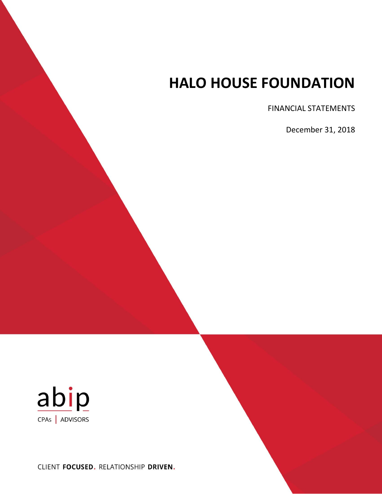FINANCIAL STATEMENTS

December 31, 2018



CLIENT FOCUSED. RELATIONSHIP DRIVEN.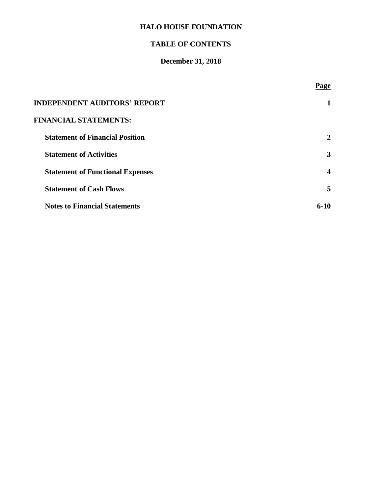# **TABLE OF CONTENTS**

# **December 31, 2018**

|                                         | Page             |
|-----------------------------------------|------------------|
| <b>INDEPENDENT AUDITORS' REPORT</b>     |                  |
| <b>FINANCIAL STATEMENTS:</b>            |                  |
| <b>Statement of Financial Position</b>  | 2                |
| <b>Statement of Activities</b>          | 3                |
| <b>Statement of Functional Expenses</b> | $\boldsymbol{4}$ |
| <b>Statement of Cash Flows</b>          | 5                |
| <b>Notes to Financial Statements</b>    | $6-10$           |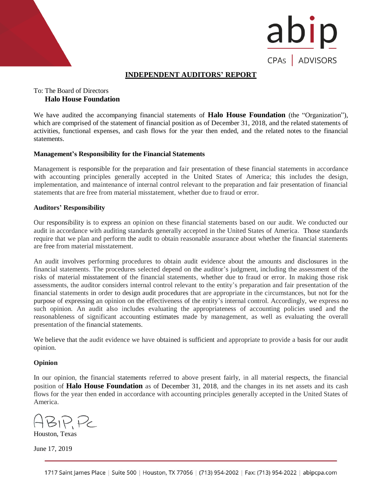



### **INDEPENDENT AUDITORS' REPORT**

### To: The Board of Directors **Halo House Foundation**

We have audited the accompanying financial statements of **Halo House Foundation** (the "Organization"), which are comprised of the statement of financial position as of December 31, 2018, and the related statements of activities, functional expenses, and cash flows for the year then ended, and the related notes to the financial statements.

### **Management's Responsibility for the Financial Statements**

Management is responsible for the preparation and fair presentation of these financial statements in accordance with accounting principles generally accepted in the United States of America; this includes the design, implementation, and maintenance of internal control relevant to the preparation and fair presentation of financial statements that are free from material misstatement, whether due to fraud or error.

### **Auditors' Responsibility**

Our responsibility is to express an opinion on these financial statements based on our audit. We conducted our audit in accordance with auditing standards generally accepted in the United States of America. Those standards require that we plan and perform the audit to obtain reasonable assurance about whether the financial statements are free from material misstatement.

An audit involves performing procedures to obtain audit evidence about the amounts and disclosures in the financial statements. The procedures selected depend on the auditor's judgment, including the assessment of the risks of material misstatement of the financial statements, whether due to fraud or error. In making those risk assessments, the auditor considers internal control relevant to the entity's preparation and fair presentation of the financial statements in order to design audit procedures that are appropriate in the circumstances, but not for the purpose of expressing an opinion on the effectiveness of the entity's internal control. Accordingly, we express no such opinion. An audit also includes evaluating the appropriateness of accounting policies used and the reasonableness of significant accounting estimates made by management, as well as evaluating the overall presentation of the financial statements.

We believe that the audit evidence we have obtained is sufficient and appropriate to provide a basis for our audit opinion.

#### **Opinion**

In our opinion, the financial statements referred to above present fairly, in all material respects, the financial position of **Halo House Foundation** as of December 31, 2018, and the changes in its net assets and its cash flows for the year then ended in accordance with accounting principles generally accepted in the United States of America.

BIP. PC

Houston, Texas

June 17, 2019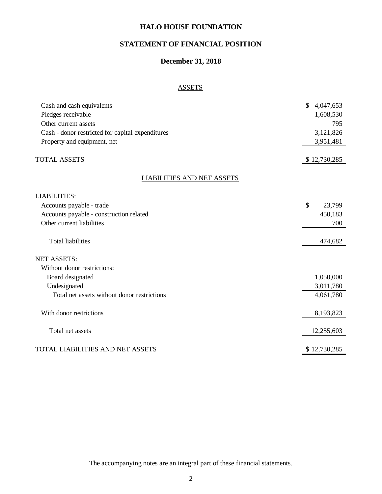# **STATEMENT OF FINANCIAL POSITION**

# **December 31, 2018**

### ASSETS

| Cash and cash equivalents                        | \$<br>4,047,653 |
|--------------------------------------------------|-----------------|
| Pledges receivable                               | 1,608,530       |
| Other current assets                             | 795             |
| Cash - donor restricted for capital expenditures | 3,121,826       |
| Property and equipment, net                      | 3,951,481       |
| <b>TOTAL ASSETS</b>                              | \$12,730,285    |
| <b>LIABILITIES AND NET ASSETS</b>                |                 |
| <b>LIABILITIES:</b>                              |                 |
| Accounts payable - trade                         | \$<br>23,799    |
| Accounts payable - construction related          | 450,183         |
| Other current liabilities                        | 700             |
| <b>Total liabilities</b>                         | 474,682         |
| <b>NET ASSETS:</b>                               |                 |
| Without donor restrictions:                      |                 |
| Board designated                                 | 1,050,000       |
| Undesignated                                     | 3,011,780       |
| Total net assets without donor restrictions      | 4,061,780       |
| With donor restrictions                          | 8,193,823       |
| Total net assets                                 | 12,255,603      |
| TOTAL LIABILITIES AND NET ASSETS                 | \$12,730,285    |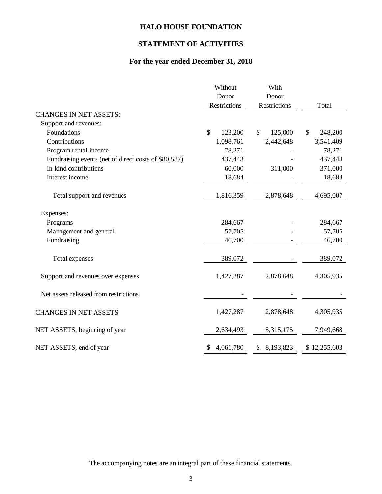# **STATEMENT OF ACTIVITIES**

# **For the year ended December 31, 2018**

|                                                      | Without         | With                     |               |
|------------------------------------------------------|-----------------|--------------------------|---------------|
|                                                      | Donor           | Donor                    |               |
|                                                      | Restrictions    | Restrictions             | Total         |
| <b>CHANGES IN NET ASSETS:</b>                        |                 |                          |               |
| Support and revenues:                                |                 |                          |               |
| Foundations                                          | \$<br>123,200   | $\mathcal{S}$<br>125,000 | 248,200<br>\$ |
| Contributions                                        | 1,098,761       | 2,442,648                | 3,541,409     |
| Program rental income                                | 78,271          |                          | 78,271        |
| Fundraising events (net of direct costs of \$80,537) | 437,443         |                          | 437,443       |
| In-kind contributions                                | 60,000          | 311,000                  | 371,000       |
| Interest income                                      | 18,684          |                          | 18,684        |
|                                                      |                 |                          |               |
| Total support and revenues                           | 1,816,359       | 2,878,648                | 4,695,007     |
| Expenses:                                            |                 |                          |               |
| Programs                                             | 284,667         |                          | 284,667       |
| Management and general                               | 57,705          |                          | 57,705        |
| Fundraising                                          | 46,700          |                          | 46,700        |
|                                                      |                 |                          |               |
| Total expenses                                       | 389,072         |                          | 389,072       |
| Support and revenues over expenses                   | 1,427,287       | 2,878,648                | 4,305,935     |
|                                                      |                 |                          |               |
| Net assets released from restrictions                |                 |                          |               |
| <b>CHANGES IN NET ASSETS</b>                         | 1,427,287       | 2,878,648                | 4,305,935     |
|                                                      |                 |                          |               |
| NET ASSETS, beginning of year                        | 2,634,493       | 5,315,175                | 7,949,668     |
| NET ASSETS, end of year                              | 4,061,780<br>\$ | 8,193,823<br>\$          | \$12,255,603  |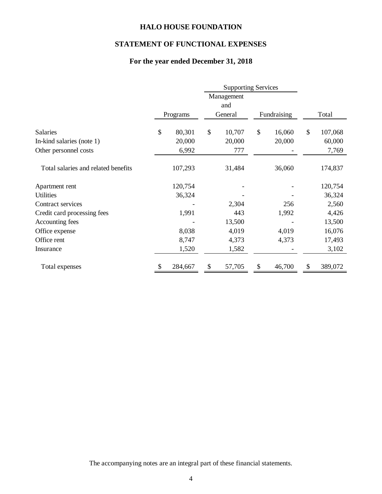# **STATEMENT OF FUNCTIONAL EXPENSES**

# **For the year ended December 31, 2018**

|                                     | <b>Supporting Services</b> |          |    |            |              |               |
|-------------------------------------|----------------------------|----------|----|------------|--------------|---------------|
|                                     |                            |          |    | Management |              |               |
|                                     |                            |          |    | and        |              |               |
|                                     |                            | Programs |    | General    | Fundraising  | Total         |
| <b>Salaries</b>                     | \$                         | 80,301   | \$ | 10,707     | \$<br>16,060 | \$<br>107,068 |
| In-kind salaries (note 1)           |                            | 20,000   |    | 20,000     | 20,000       | 60,000        |
| Other personnel costs               |                            | 6,992    |    | 777        |              | 7,769         |
| Total salaries and related benefits |                            | 107,293  |    | 31,484     | 36,060       | 174,837       |
| Apartment rent                      |                            | 120,754  |    |            |              | 120,754       |
| <b>Utilities</b>                    |                            | 36,324   |    |            |              | 36,324        |
| Contract services                   |                            |          |    | 2,304      | 256          | 2,560         |
| Credit card processing fees         |                            | 1,991    |    | 443        | 1,992        | 4,426         |
| Accounting fees                     |                            |          |    | 13,500     |              | 13,500        |
| Office expense                      |                            | 8,038    |    | 4,019      | 4,019        | 16,076        |
| Office rent                         |                            | 8,747    |    | 4,373      | 4,373        | 17,493        |
| Insurance                           |                            | 1,520    |    | 1,582      |              | 3,102         |
| Total expenses                      | \$                         | 284,667  | \$ | 57,705     | \$<br>46,700 | \$<br>389,072 |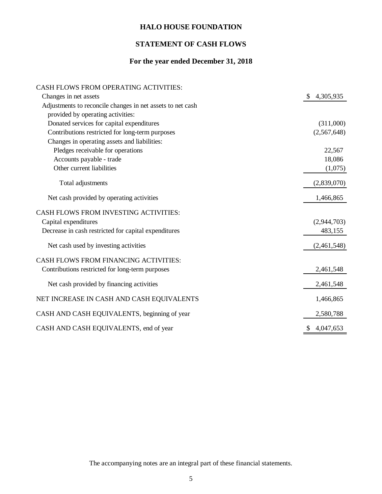# **STATEMENT OF CASH FLOWS**

# **For the year ended December 31, 2018**

| <b>CASH FLOWS FROM OPERATING ACTIVITIES:</b>               |                 |
|------------------------------------------------------------|-----------------|
| Changes in net assets                                      | 4,305,935       |
| Adjustments to reconcile changes in net assets to net cash |                 |
| provided by operating activities:                          |                 |
| Donated services for capital expenditures                  | (311,000)       |
| Contributions restricted for long-term purposes            | (2,567,648)     |
| Changes in operating assets and liabilities:               |                 |
| Pledges receivable for operations                          | 22,567          |
| Accounts payable - trade                                   | 18,086          |
| Other current liabilities                                  | (1,075)         |
| Total adjustments                                          | (2,839,070)     |
| Net cash provided by operating activities                  | 1,466,865       |
| CASH FLOWS FROM INVESTING ACTIVITIES:                      |                 |
| Capital expenditures                                       | (2,944,703)     |
| Decrease in cash restricted for capital expenditures       | 483,155         |
| Net cash used by investing activities                      | (2,461,548)     |
| <b>CASH FLOWS FROM FINANCING ACTIVITIES:</b>               |                 |
| Contributions restricted for long-term purposes            | 2,461,548       |
| Net cash provided by financing activities                  | 2,461,548       |
| NET INCREASE IN CASH AND CASH EQUIVALENTS                  | 1,466,865       |
| CASH AND CASH EQUIVALENTS, beginning of year               | 2,580,788       |
| CASH AND CASH EQUIVALENTS, end of year                     | \$<br>4,047,653 |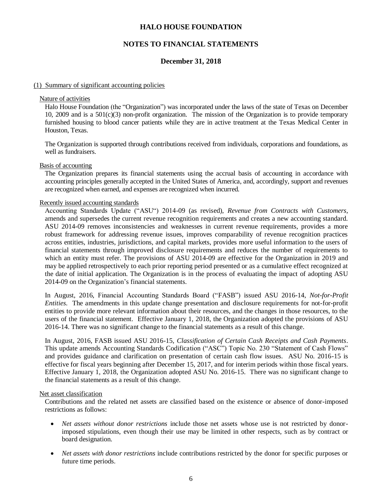# **NOTES TO FINANCIAL STATEMENTS**

# **December 31, 2018**

### (1) Summary of significant accounting policies

#### Nature of activities

Halo House Foundation (the "Organization") was incorporated under the laws of the state of Texas on December 10, 2009 and is a 501(c)(3) non-profit organization. The mission of the Organization is to provide temporary furnished housing to blood cancer patients while they are in active treatment at the Texas Medical Center in Houston, Texas.

The Organization is supported through contributions received from individuals, corporations and foundations, as well as fundraisers.

#### Basis of accounting

The Organization prepares its financial statements using the accrual basis of accounting in accordance with accounting principles generally accepted in the United States of America, and, accordingly, support and revenues are recognized when earned, and expenses are recognized when incurred.

#### Recently issued accounting standards

Accounting Standards Update ("ASU") 2014-09 (as revised), *Revenue from Contracts with Customers*, amends and supersedes the current revenue recognition requirements and creates a new accounting standard. ASU 2014-09 removes inconsistencies and weaknesses in current revenue requirements, provides a more robust framework for addressing revenue issues, improves comparability of revenue recognition practices across entities, industries, jurisdictions, and capital markets, provides more useful information to the users of financial statements through improved disclosure requirements and reduces the number of requirements to which an entity must refer. The provisions of ASU 2014-09 are effective for the Organization in 2019 and may be applied retrospectively to each prior reporting period presented or as a cumulative effect recognized at the date of initial application. The Organization is in the process of evaluating the impact of adopting ASU 2014-09 on the Organization's financial statements.

In August, 2016, Financial Accounting Standards Board ("FASB") issued ASU 2016-14, *Not-for-Profit Entities*. The amendments in this update change presentation and disclosure requirements for not-for-profit entities to provide more relevant information about their resources, and the changes in those resources, to the users of the financial statement. Effective January 1, 2018, the Organization adopted the provisions of ASU 2016-14. There was no significant change to the financial statements as a result of this change.

In August, 2016, FASB issued ASU 2016-15, *Classification of Certain Cash Receipts and Cash Payments*. This update amends Accounting Standards Codification ("ASC") Topic No. 230 "Statement of Cash Flows" and provides guidance and clarification on presentation of certain cash flow issues. ASU No. 2016-15 is effective for fiscal years beginning after December 15, 2017, and for interim periods within those fiscal years. Effective January 1, 2018, the Organization adopted ASU No. 2016-15. There was no significant change to the financial statements as a result of this change.

#### Net asset classification

Contributions and the related net assets are classified based on the existence or absence of donor-imposed restrictions as follows:

- *Net assets without donor restrictions* include those net assets whose use is not restricted by donorimposed stipulations, even though their use may be limited in other respects, such as by contract or board designation.
- *Net assets with donor restrictions* include contributions restricted by the donor for specific purposes or future time periods.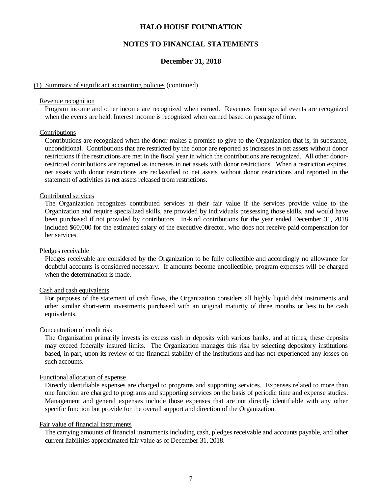### **NOTES TO FINANCIAL STATEMENTS**

#### **December 31, 2018**

#### (1) Summary of significant accounting policies (continued)

#### Revenue recognition

Program income and other income are recognized when earned. Revenues from special events are recognized when the events are held. Interest income is recognized when earned based on passage of time.

#### Contributions

Contributions are recognized when the donor makes a promise to give to the Organization that is, in substance, unconditional. Contributions that are restricted by the donor are reported as increases in net assets without donor restrictions if the restrictions are met in the fiscal year in which the contributions are recognized. All other donorrestricted contributions are reported as increases in net assets with donor restrictions. When a restriction expires, net assets with donor restrictions are reclassified to net assets without donor restrictions and reported in the statement of activities as net assets released from restrictions.

#### Contributed services

The Organization recognizes contributed services at their fair value if the services provide value to the Organization and require specialized skills, are provided by individuals possessing those skills, and would have been purchased if not provided by contributors. In-kind contributions for the year ended December 31, 2018 included \$60,000 for the estimated salary of the executive director, who does not receive paid compensation for her services.

#### Pledges receivable

Pledges receivable are considered by the Organization to be fully collectible and accordingly no allowance for doubtful accounts is considered necessary. If amounts become uncollectible, program expenses will be charged when the determination is made.

#### Cash and cash equivalents

For purposes of the statement of cash flows, the Organization considers all highly liquid debt instruments and other similar short-term investments purchased with an original maturity of three months or less to be cash equivalents.

#### Concentration of credit risk

The Organization primarily invests its excess cash in deposits with various banks, and at times, these deposits may exceed federally insured limits. The Organization manages this risk by selecting depository institutions based, in part, upon its review of the financial stability of the institutions and has not experienced any losses on such accounts.

#### Functional allocation of expense

Directly identifiable expenses are charged to programs and supporting services. Expenses related to more than one function are charged to programs and supporting services on the basis of periodic time and expense studies. Management and general expenses include those expenses that are not directly identifiable with any other specific function but provide for the overall support and direction of the Organization.

#### Fair value of financial instruments

The carrying amounts of financial instruments including cash, pledges receivable and accounts payable, and other current liabilities approximated fair value as of December 31, 2018.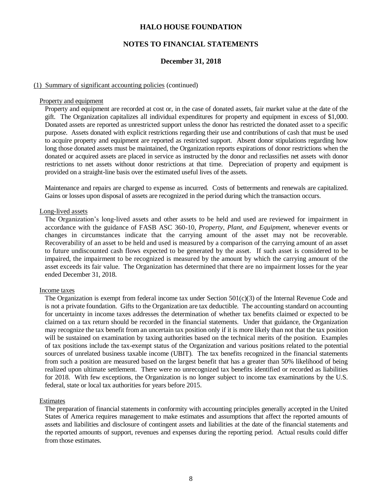### **NOTES TO FINANCIAL STATEMENTS**

#### **December 31, 2018**

#### (1) Summary of significant accounting policies (continued)

#### Property and equipment

Property and equipment are recorded at cost or, in the case of donated assets, fair market value at the date of the gift. The Organization capitalizes all individual expenditures for property and equipment in excess of \$1,000. Donated assets are reported as unrestricted support unless the donor has restricted the donated asset to a specific purpose. Assets donated with explicit restrictions regarding their use and contributions of cash that must be used to acquire property and equipment are reported as restricted support. Absent donor stipulations regarding how long those donated assets must be maintained, the Organization reports expirations of donor restrictions when the donated or acquired assets are placed in service as instructed by the donor and reclassifies net assets with donor restrictions to net assets without donor restrictions at that time. Depreciation of property and equipment is provided on a straight-line basis over the estimated useful lives of the assets.

Maintenance and repairs are charged to expense as incurred. Costs of betterments and renewals are capitalized. Gains or losses upon disposal of assets are recognized in the period during which the transaction occurs.

#### Long-lived assets

The Organization's long-lived assets and other assets to be held and used are reviewed for impairment in accordance with the guidance of FASB ASC 360-10, *Property, Plant, and Equipment*, whenever events or changes in circumstances indicate that the carrying amount of the asset may not be recoverable. Recoverability of an asset to be held and used is measured by a comparison of the carrying amount of an asset to future undiscounted cash flows expected to be generated by the asset. If such asset is considered to be impaired, the impairment to be recognized is measured by the amount by which the carrying amount of the asset exceeds its fair value. The Organization has determined that there are no impairment losses for the year ended December 31, 2018.

#### Income taxes

The Organization is exempt from federal income tax under Section  $501(c)(3)$  of the Internal Revenue Code and is not a private foundation. Gifts to the Organization are tax deductible. The accounting standard on accounting for uncertainty in income taxes addresses the determination of whether tax benefits claimed or expected to be claimed on a tax return should be recorded in the financial statements. Under that guidance, the Organization may recognize the tax benefit from an uncertain tax position only if it is more likely than not that the tax position will be sustained on examination by taxing authorities based on the technical merits of the position. Examples of tax positions include the tax-exempt status of the Organization and various positions related to the potential sources of unrelated business taxable income (UBIT). The tax benefits recognized in the financial statements from such a position are measured based on the largest benefit that has a greater than 50% likelihood of being realized upon ultimate settlement. There were no unrecognized tax benefits identified or recorded as liabilities for 2018. With few exceptions, the Organization is no longer subject to income tax examinations by the U.S. federal, state or local tax authorities for years before 2015.

#### **Estimates**

The preparation of financial statements in conformity with accounting principles generally accepted in the United States of America requires management to make estimates and assumptions that affect the reported amounts of assets and liabilities and disclosure of contingent assets and liabilities at the date of the financial statements and the reported amounts of support, revenues and expenses during the reporting period. Actual results could differ from those estimates.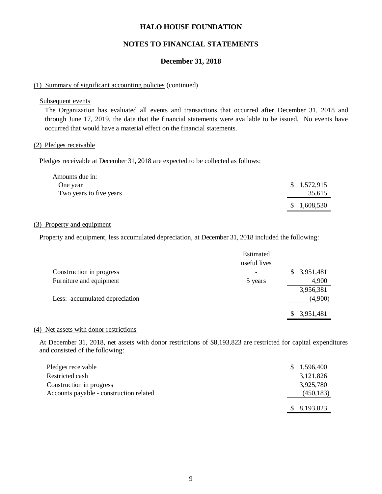# **NOTES TO FINANCIAL STATEMENTS**

### **December 31, 2018**

#### (1) Summary of significant accounting policies (continued)

#### Subsequent events

The Organization has evaluated all events and transactions that occurred after December 31, 2018 and through June 17, 2019, the date that the financial statements were available to be issued. No events have occurred that would have a material effect on the financial statements.

#### (2) Pledges receivable

Pledges receivable at December 31, 2018 are expected to be collected as follows:

| Amounts due in:         |             |
|-------------------------|-------------|
| One year                | \$1,572,915 |
| Two years to five years | 35,615      |
|                         | \$1,608,530 |

### (3) Property and equipment

Property and equipment, less accumulated depreciation, at December 31, 2018 included the following:

|                                | Estimated    |    |           |
|--------------------------------|--------------|----|-----------|
|                                | useful lives |    |           |
| Construction in progress       |              | S. | 3,951,481 |
| Furniture and equipment        | 5 years      |    | 4,900     |
|                                |              |    | 3,956,381 |
| Less: accumulated depreciation |              |    | (4,900)   |
|                                |              | S. | 3,951,481 |
|                                |              |    |           |

### (4) Net assets with donor restrictions

At December 31, 2018, net assets with donor restrictions of \$8,193,823 are restricted for capital expenditures and consisted of the following:

| Pledges receivable                      | \$1,596,400 |
|-----------------------------------------|-------------|
| Restricted cash                         | 3,121,826   |
| Construction in progress                | 3,925,780   |
| Accounts payable - construction related | (450, 183)  |
|                                         | \$8,193,823 |